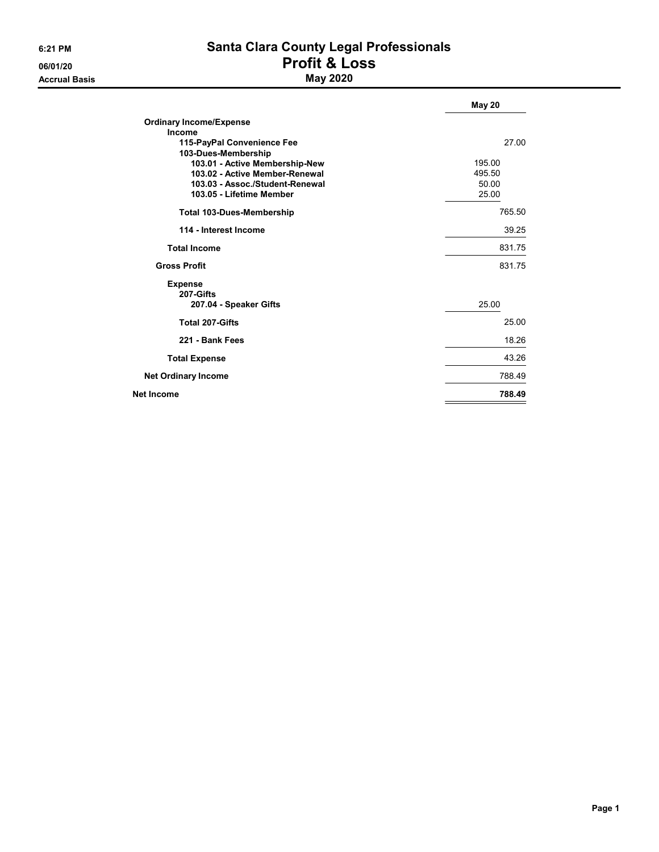**Accrual Basis** 

# 6:21 PM Santa Clara County Legal Professionals 06/01/20<br>Accrual Basis **Profit & Loss**<br>May 2020

|                                  | <b>May 20</b> |
|----------------------------------|---------------|
| <b>Ordinary Income/Expense</b>   |               |
| Income                           |               |
| 115-PayPal Convenience Fee       | 27.00         |
| 103-Dues-Membership              |               |
| 103.01 - Active Membership-New   | 195.00        |
| 103.02 - Active Member-Renewal   | 495.50        |
| 103.03 - Assoc./Student-Renewal  | 50.00         |
| 103.05 - Lifetime Member         | 25.00         |
| <b>Total 103-Dues-Membership</b> | 765.50        |
| 114 - Interest Income            | 39.25         |
| <b>Total Income</b>              | 831.75        |
| <b>Gross Profit</b>              | 831.75        |
| <b>Expense</b>                   |               |
| 207-Gifts                        |               |
| 207.04 - Speaker Gifts           | 25.00         |
| <b>Total 207-Gifts</b>           | 25.00         |
| 221 - Bank Fees                  | 18.26         |
| <b>Total Expense</b>             | 43.26         |
| <b>Net Ordinary Income</b>       | 788.49        |
| Net Income                       | 788.49        |
|                                  |               |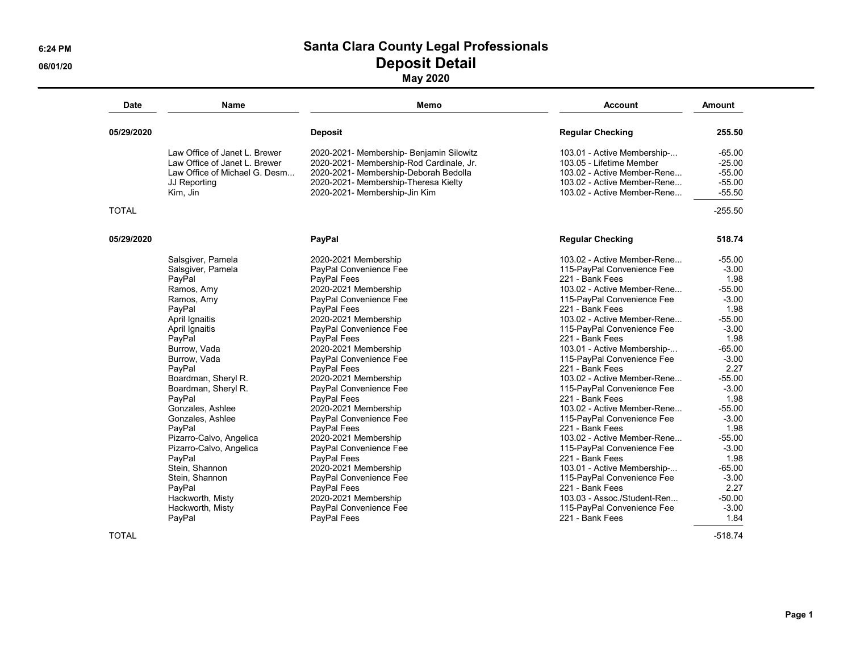## 6:24 PM Santa Clara County Legal Professionals 06/01/20 Deposit Detail

May 2020

| <b>Date</b>  | <b>Name</b>                   | Memo                                     | <b>Account</b>              | Amount<br>255.50 |  |
|--------------|-------------------------------|------------------------------------------|-----------------------------|------------------|--|
| 05/29/2020   |                               | <b>Deposit</b>                           | <b>Regular Checking</b>     |                  |  |
|              | Law Office of Janet L. Brewer | 2020-2021- Membership- Benjamin Silowitz | 103.01 - Active Membership- | $-65.00$         |  |
|              | Law Office of Janet L. Brewer | 2020-2021- Membership-Rod Cardinale, Jr. | 103.05 - Lifetime Member    | $-25.00$         |  |
|              | Law Office of Michael G. Desm | 2020-2021- Membership-Deborah Bedolla    | 103.02 - Active Member-Rene | $-55.00$         |  |
|              | JJ Reporting                  | 2020-2021- Membership-Theresa Kielty     | 103.02 - Active Member-Rene | $-55.00$         |  |
|              | Kim, Jin                      | 2020-2021- Membership-Jin Kim            | 103.02 - Active Member-Rene | $-55.50$         |  |
| <b>TOTAL</b> |                               |                                          |                             | $-255.50$        |  |
| 05/29/2020   |                               | PayPal                                   | <b>Regular Checking</b>     | 518.74           |  |
|              | Salsgiver, Pamela             | 2020-2021 Membership                     | 103.02 - Active Member-Rene | $-55.00$         |  |
|              | Salsgiver, Pamela             | PayPal Convenience Fee                   | 115-PayPal Convenience Fee  | $-3.00$          |  |
|              | PayPal                        | PayPal Fees                              | 221 - Bank Fees             | 1.98             |  |
|              | Ramos, Amy                    | 2020-2021 Membership                     | 103.02 - Active Member-Rene | $-55.00$         |  |
|              | Ramos, Amy                    | PayPal Convenience Fee                   | 115-PayPal Convenience Fee  | $-3.00$          |  |
|              | PayPal                        | PayPal Fees                              | 221 - Bank Fees             | 1.98             |  |
|              | April Ignaitis                | 2020-2021 Membership                     | 103.02 - Active Member-Rene | $-55.00$         |  |
|              | April Ignaitis                | PayPal Convenience Fee                   | 115-PayPal Convenience Fee  | $-3.00$          |  |
|              | PayPal                        | PayPal Fees                              | 221 - Bank Fees             | 1.98             |  |
|              | Burrow, Vada                  | 2020-2021 Membership                     | 103.01 - Active Membership- | $-65.00$         |  |
|              | Burrow, Vada                  | PayPal Convenience Fee                   | 115-PayPal Convenience Fee  | $-3.00$          |  |
|              | PayPal                        | PayPal Fees                              | 221 - Bank Fees             | 2.27             |  |
|              | Boardman, Sheryl R.           | 2020-2021 Membership                     | 103.02 - Active Member-Rene | $-55.00$         |  |
|              | Boardman, Sheryl R.           | PayPal Convenience Fee                   | 115-PayPal Convenience Fee  | $-3.00$          |  |
|              | PayPal                        | PayPal Fees                              | 221 - Bank Fees             | 1.98             |  |
|              | Gonzales, Ashlee              | 2020-2021 Membership                     | 103.02 - Active Member-Rene | $-55.00$         |  |
|              | Gonzales, Ashlee              | PayPal Convenience Fee                   | 115-PayPal Convenience Fee  | $-3.00$          |  |
|              | PayPal                        | PayPal Fees                              | 221 - Bank Fees             | 1.98             |  |
|              | Pizarro-Calvo, Angelica       | 2020-2021 Membership                     | 103.02 - Active Member-Rene | $-55.00$         |  |
|              | Pizarro-Calvo, Angelica       | PayPal Convenience Fee                   | 115-PayPal Convenience Fee  | $-3.00$          |  |
|              | PayPal                        | PayPal Fees                              | 221 - Bank Fees             | 1.98             |  |
|              | Stein, Shannon                | 2020-2021 Membership                     | 103.01 - Active Membership- | $-65.00$         |  |
|              | Stein, Shannon                | PayPal Convenience Fee                   | 115-PayPal Convenience Fee  | $-3.00$          |  |
|              | PayPal                        | PayPal Fees                              | 221 - Bank Fees             | 2.27             |  |
|              | Hackworth, Misty              | 2020-2021 Membership                     | 103.03 - Assoc./Student-Ren | $-50.00$         |  |
|              | Hackworth, Misty              | PayPal Convenience Fee                   | 115-PayPal Convenience Fee  | $-3.00$          |  |
|              | PayPal                        | PayPal Fees                              | 221 - Bank Fees             | 1.84             |  |

 $\blacksquare$  TOTAL  $\blacksquare$  .518.74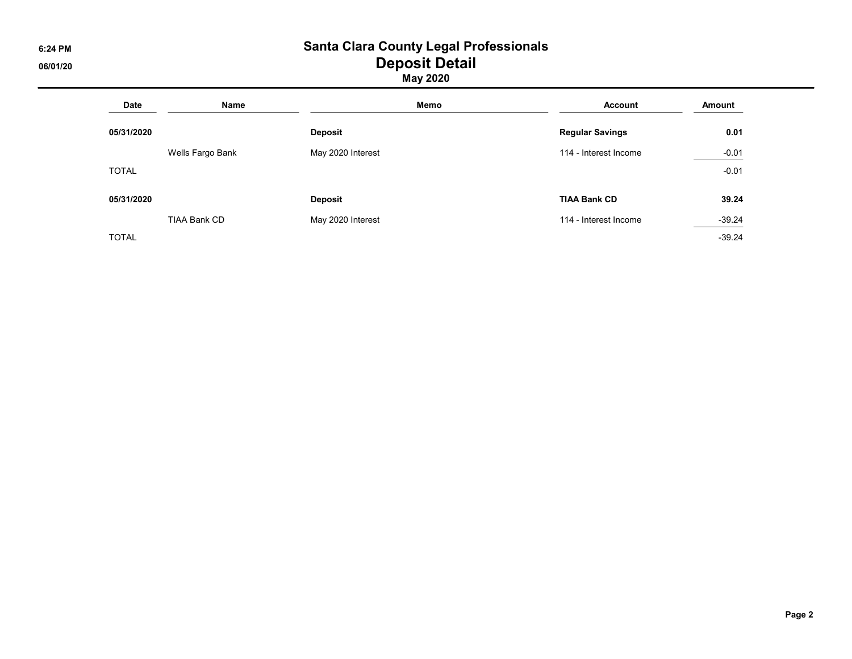#### 6:24 PM Santa Clara County Legal Professionals 06/01/20 Deposit Detail

May 2020

| <b>Date</b>  | Name                | Memo              | <b>Account</b>         | Amount   |
|--------------|---------------------|-------------------|------------------------|----------|
| 05/31/2020   |                     | <b>Deposit</b>    | <b>Regular Savings</b> | 0.01     |
|              | Wells Fargo Bank    | May 2020 Interest | 114 - Interest Income  | $-0.01$  |
| <b>TOTAL</b> |                     |                   |                        | $-0.01$  |
| 05/31/2020   |                     | <b>Deposit</b>    | <b>TIAA Bank CD</b>    | 39.24    |
|              | <b>TIAA Bank CD</b> | May 2020 Interest | 114 - Interest Income  | $-39.24$ |
| <b>TOTAL</b> |                     |                   |                        | $-39.24$ |